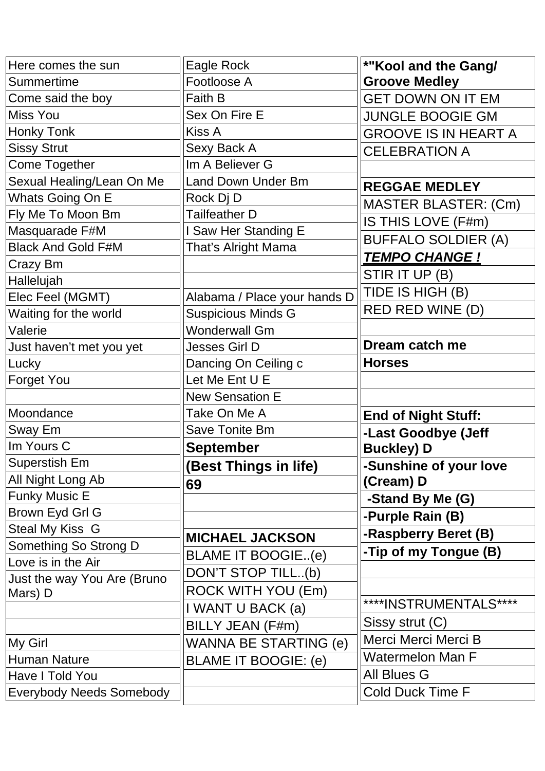| Here comes the sun              | Eagle Rock                   | *"Kool and the Gang/        |
|---------------------------------|------------------------------|-----------------------------|
| Summertime                      | Footloose A                  | <b>Groove Medley</b>        |
| Come said the boy               | Faith B                      | <b>GET DOWN ON IT EM</b>    |
| <b>Miss You</b>                 | Sex On Fire E                | <b>JUNGLE BOOGIE GM</b>     |
| Honky Tonk                      | <b>Kiss A</b>                | <b>GROOVE IS IN HEART A</b> |
| <b>Sissy Strut</b>              | Sexy Back A                  | <b>CELEBRATION A</b>        |
| <b>Come Together</b>            | Im A Believer G              |                             |
| Sexual Healing/Lean On Me       | <b>Land Down Under Bm</b>    | <b>REGGAE MEDLEY</b>        |
| Whats Going On E                | Rock Dj D                    | <b>MASTER BLASTER: (Cm)</b> |
| Fly Me To Moon Bm               | <b>Tailfeather D</b>         | IS THIS LOVE (F#m)          |
| Masquarade F#M                  | I Saw Her Standing E         | <b>BUFFALO SOLDIER (A)</b>  |
| <b>Black And Gold F#M</b>       | That's Alright Mama          | <b>TEMPO CHANGE!</b>        |
| Crazy Bm                        |                              |                             |
| Hallelujah                      |                              | STIR IT UP (B)              |
| Elec Feel (MGMT)                | Alabama / Place your hands D | TIDE IS HIGH (B)            |
| Waiting for the world           | <b>Suspicious Minds G</b>    | RED RED WINE (D)            |
| Valerie                         | <b>Wonderwall Gm</b>         |                             |
| Just haven't met you yet        | <b>Jesses Girl D</b>         | Dream catch me              |
| Lucky                           | Dancing On Ceiling c         | <b>Horses</b>               |
| Forget You                      | Let Me Ent U E               |                             |
|                                 | <b>New Sensation E</b>       |                             |
| Moondance                       | Take On Me A                 | <b>End of Night Stuff:</b>  |
| Sway Em                         | Save Tonite Bm               | -Last Goodbye (Jeff         |
| Im Yours C                      | <b>September</b>             | <b>Buckley) D</b>           |
| Superstish Em                   | (Best Things in life)        | -Sunshine of your love      |
| All Night Long Ab               | 69                           | (Cream) D                   |
| <b>Funky Music E</b>            |                              | -Stand By Me (G)            |
| Brown Eyd Grl G                 |                              | -Purple Rain (B)            |
| <b>Steal My Kiss G</b>          | <b>MICHAEL JACKSON</b>       | -Raspberry Beret (B)        |
| Something So Strong D           | BLAME IT BOOGIE(e)           | -Tip of my Tongue (B)       |
| Love is in the Air              | DON'T STOP TILL(b)           |                             |
| Just the way You Are (Bruno     |                              |                             |
| Mars) D                         | ROCK WITH YOU (Em)           | ****INSTRUMENTALS****       |
|                                 | I WANT U BACK (a)            | Sissy strut (C)             |
|                                 | BILLY JEAN (F#m)             | Merci Merci Merci B         |
| My Girl                         | WANNA BE STARTING (e)        |                             |
| Human Nature                    | BLAME IT BOOGIE: (e)         | <b>Watermelon Man F</b>     |
| Have I Told You                 |                              | All Blues G                 |
| <b>Everybody Needs Somebody</b> |                              | <b>Cold Duck Time F</b>     |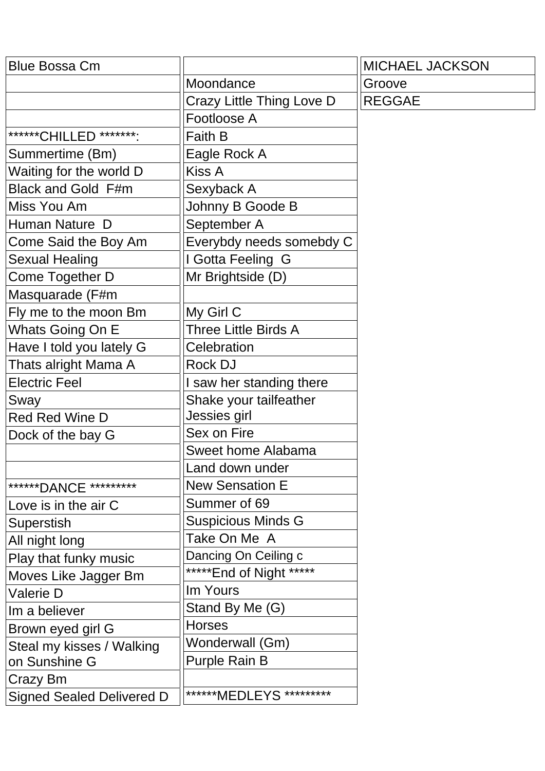| <b>Blue Bossa Cm</b>             |                           | <b>MICHAEL JACKSON</b> |
|----------------------------------|---------------------------|------------------------|
|                                  | Moondance                 | Groove                 |
|                                  | Crazy Little Thing Love D | <b>REGGAE</b>          |
|                                  | Footloose A               |                        |
| *******CHILLED ********:         | Faith B                   |                        |
| Summertime (Bm)                  | Eagle Rock A              |                        |
| Waiting for the world D          | Kiss A                    |                        |
| Black and Gold F#m               | Sexyback A                |                        |
| Miss You Am                      | Johnny B Goode B          |                        |
| Human Nature D                   | September A               |                        |
| Come Said the Boy Am             | Everybdy needs somebdy C  |                        |
| <b>Sexual Healing</b>            | I Gotta Feeling G         |                        |
| Come Together D                  | Mr Brightside (D)         |                        |
| Masquarade (F#m                  |                           |                        |
| Fly me to the moon Bm            | My Girl C                 |                        |
| Whats Going On E                 | Three Little Birds A      |                        |
| Have I told you lately G         | Celebration               |                        |
| Thats alright Mama A             | <b>Rock DJ</b>            |                        |
| <b>Electric Feel</b>             | I saw her standing there  |                        |
| Sway                             | Shake your tailfeather    |                        |
| <b>Red Red Wine D</b>            | Jessies girl              |                        |
| Dock of the bay G                | Sex on Fire               |                        |
|                                  | Sweet home Alabama        |                        |
|                                  | Land down under           |                        |
| ******DANCE *********            | <b>New Sensation E</b>    |                        |
| Love is in the air C             | Summer of 69              |                        |
| Superstish                       | <b>Suspicious Minds G</b> |                        |
| All night long                   | Take On Me A              |                        |
| Play that funky music            | Dancing On Ceiling c      |                        |
| Moves Like Jagger Bm             | ***** End of Night *****  |                        |
| Valerie D                        | Im Yours                  |                        |
| Im a believer                    | Stand By Me (G)           |                        |
| Brown eyed girl G                | <b>Horses</b>             |                        |
| Steal my kisses / Walking        | Wonderwall (Gm)           |                        |
| on Sunshine G                    | <b>Purple Rain B</b>      |                        |
| Crazy Bm                         |                           |                        |
| <b>Signed Sealed Delivered D</b> | *******MEDLEYS *********  |                        |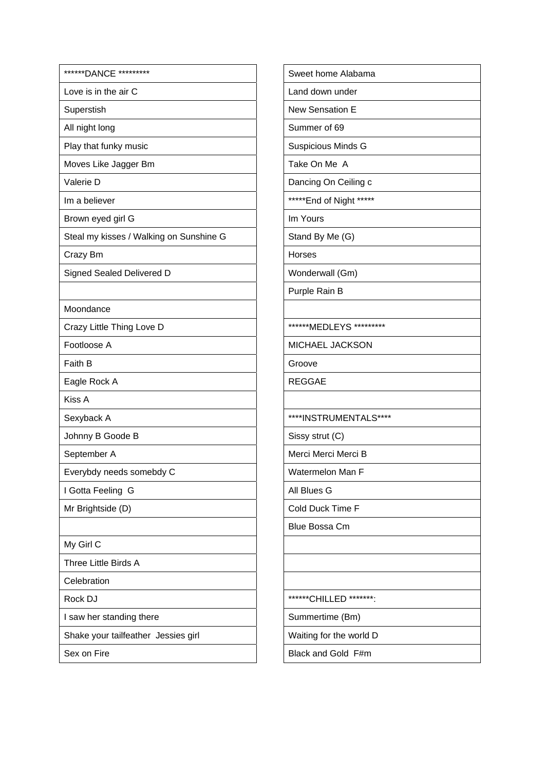| ******DANCE *********                   | Sweet ho          |
|-----------------------------------------|-------------------|
| Love is in the air C                    | Land dow          |
| Superstish                              | New Sens          |
| All night long                          | Summer o          |
| Play that funky music                   | Suspiciou         |
| Moves Like Jagger Bm                    | Take On I         |
| Valerie D                               | Dancing 0         |
| Im a believer                           | *****End o        |
| Brown eyed girl G                       | Im Yours          |
| Steal my kisses / Walking on Sunshine G | Stand By          |
| Crazy Bm                                | <b>Horses</b>     |
| Signed Sealed Delivered D               | Wonderw           |
|                                         | Purple Ra         |
| Moondance                               |                   |
| Crazy Little Thing Love D               | ******MED         |
| Footloose A                             | <b>MICHAEL</b>    |
| Faith B                                 | Groove            |
| Eagle Rock A                            | <b>REGGAE</b>     |
| <b>Kiss A</b>                           |                   |
| Sexyback A                              | ****INSTF         |
| Johnny B Goode B                        | Sissy stru        |
| September A                             | Merci Me          |
| Everybdy needs somebdy C                | Watermel          |
| I Gotta Feeling G                       | All Blues         |
| Mr Brightside (D)                       | Cold Ducl         |
|                                         | <b>Blue Boss</b>  |
| My Girl C                               |                   |
| Three Little Birds A                    |                   |
| Celebration                             |                   |
| Rock DJ                                 | ******CHII        |
| I saw her standing there                | Summerti          |
| Shake your tailfeather Jessies girl     | <b>Waiting fo</b> |
| Sex on Fire                             | <b>Black and</b>  |

| Sweet home Alabama        |
|---------------------------|
| Land down under           |
| <b>New Sensation E</b>    |
| Summer of 69              |
| Suspicious Minds G        |
| Take On Me A              |
| Dancing On Ceiling c      |
| ***** End of Night *****  |
| Im Yours                  |
| Stand By Me (G)           |
| Horses                    |
| Wonderwall (Gm)           |
| Purple Rain B             |
|                           |
| ******MEDLEYS *********   |
| MICHAEL JACKSON           |
| Groove                    |
| <b>REGGAE</b>             |
|                           |
| ****INSTRUMENTALS****     |
| Sissy strut (C)           |
| Merci Merci Merci B       |
| Watermelon Man F          |
| All Blues G               |
| Cold Duck Time F          |
| Blue Bossa Cm             |
|                           |
|                           |
|                           |
| ******CHILLED<br>*******. |
| Summertime (Bm)           |
| Waiting for the world D   |
| Black and Gold F#m        |
|                           |